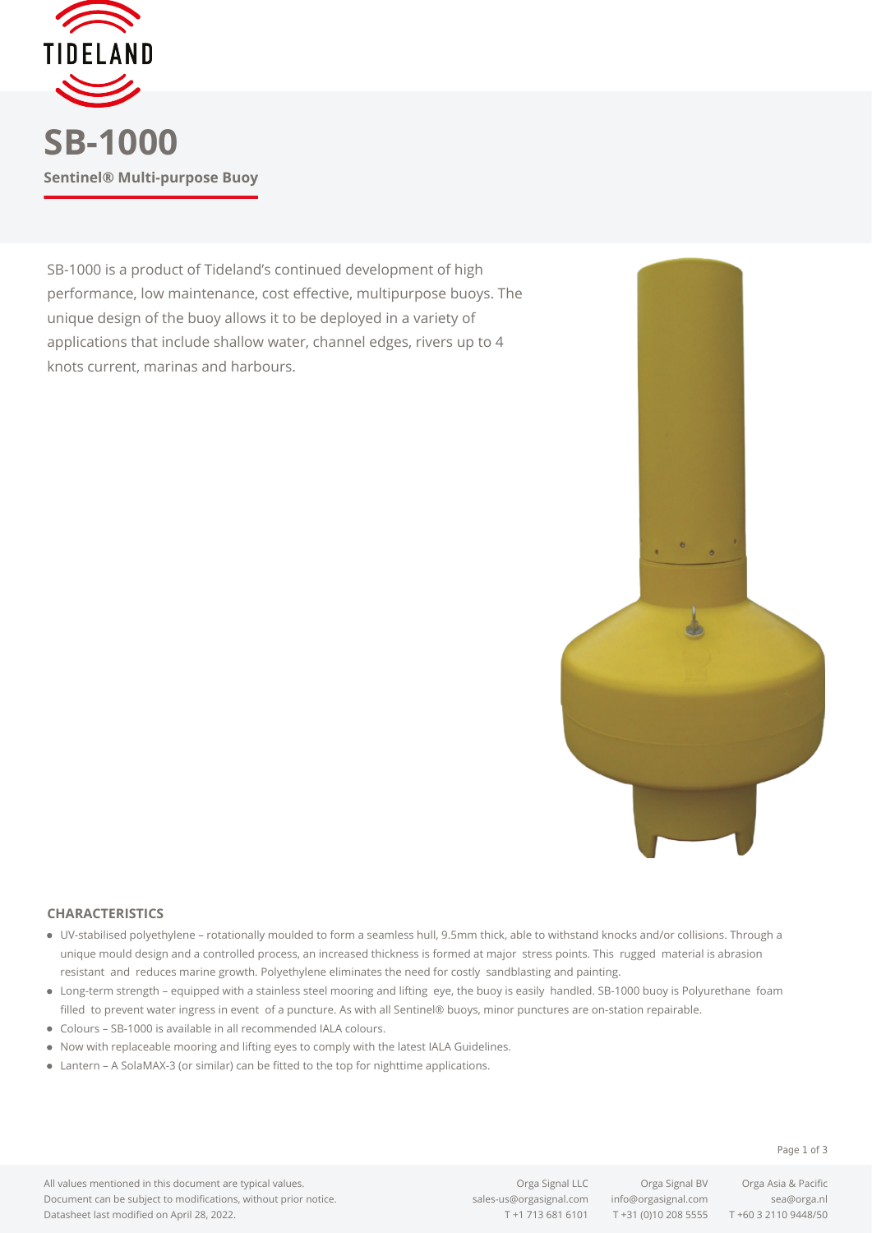

SB-1000 is a product of Tideland's continued development of high performance, low maintenance, cost effective, multipurpose buoys. The unique design of the buoy allows it to be deployed in a variety of applications that include shallow water, channel edges, rivers up to 4 knots current, marinas and harbours.



## **CHARACTERISTICS**

- UV-stabilised polyethylene rotationally moulded to form a seamless hull, 9.5mm thick, able to withstand knocks and/or collisions. Through a unique mould design and a controlled process, an increased thickness is formed at major stress points. This rugged material is abrasion resistant and reduces marine growth. Polyethylene eliminates the need for costly sandblasting and painting.
- Long-term strength equipped with a stainless steel mooring and lifting eye, the buoy is easily handled. SB-1000 buoy is Polyurethane foam filled to prevent water ingress in event of a puncture. As with all Sentinel® buoys, minor punctures are on-station repairable.
- Colours SB-1000 is available in all recommended IALA colours.
- Now with replaceable mooring and lifting eyes to comply with the latest IALA Guidelines.
- Lantern A SolaMAX-3 (or similar) can be fitted to the top for nighttime applications.

All values mentioned in this document are typical values. Document can be subject to modifications, without prior notice. Datasheet last modified on April 28, 2022.

[sales-us@orgasignal.com](mailto:sales-us@orgasignal.com) [info@orgasignal.com](mailto:info@orgasignal.com) [sea@orga.nl](mailto:sales-us@orgasignal.com)

T +1 713 681 6101 T +31 (0)10 208 5555 T +60 3 2110 9448/50

Orga Signal LLC Orga Signal BV Orga Asia & Pacific

Page 1 of 3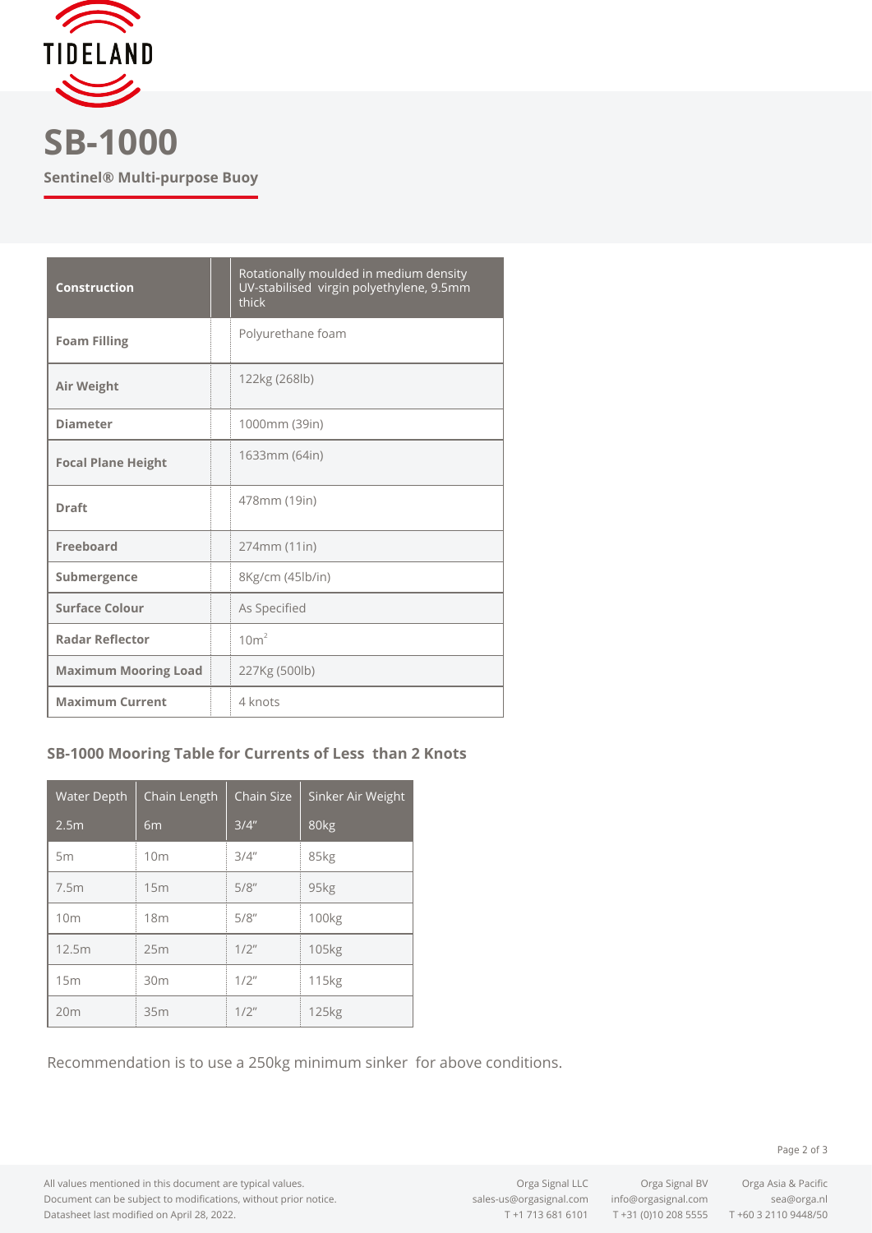

**Sentinel® Multi-purpose Buoy**

| <b>Construction</b>         | Rotationally moulded in medium density<br>UV-stabilised virgin polyethylene, 9.5mm<br>thick |
|-----------------------------|---------------------------------------------------------------------------------------------|
| <b>Foam Filling</b>         | Polyurethane foam                                                                           |
| Air Weight                  | 122kg (268lb)                                                                               |
| <b>Diameter</b>             | 1000mm (39in)                                                                               |
| <b>Focal Plane Height</b>   | 1633mm (64in)                                                                               |
| <b>Draft</b>                | 478mm (19in)                                                                                |
| Freeboard                   | 274mm (11in)                                                                                |
| Submergence                 | 8Kg/cm (45lb/in)                                                                            |
| <b>Surface Colour</b>       | As Specified                                                                                |
| <b>Radar Reflector</b>      | 10m <sup>2</sup>                                                                            |
| <b>Maximum Mooring Load</b> | 227Kg (500lb)                                                                               |
| <b>Maximum Current</b>      | 4 knots                                                                                     |

## **SB-1000 Mooring Table for Currents of Less than 2 Knots**

| Water Depth      | Chain Length    | <b>Chain Size</b> | Sinker Air Weight |
|------------------|-----------------|-------------------|-------------------|
| 2.5 <sub>m</sub> | 6 <sub>m</sub>  | 3/4"              | 80kg              |
| 5m               | 10 <sub>m</sub> | 3/4''             | 85kg              |
| 7.5m             | 15m             | 5/8''             | 95kg              |
| 10 <sub>m</sub>  | 18m             | 5/8''             | 100 <sub>kg</sub> |
| 12.5m            | 25m             | $1/2$ "           | 105 <sub>kg</sub> |
| 15m              | 30m             | $1/2$ "           | 115 <sub>kg</sub> |
| 20m              | 35m             | $1/2$ "           | 125 <sub>kg</sub> |

Recommendation is to use a 250kg minimum sinker for above conditions.

Page 2 of 3

All values mentioned in this document are typical values. Document can be subject to modifications, without prior notice. Datasheet last modified on April 28, 2022.